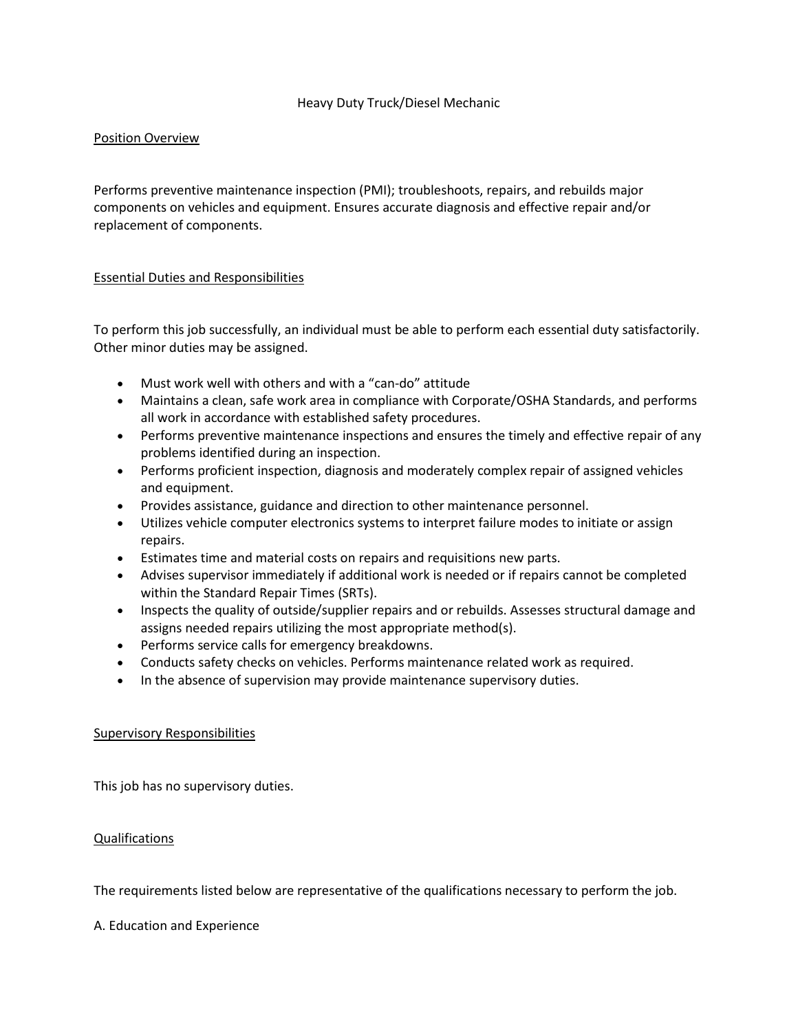# Heavy Duty Truck/Diesel Mechanic

# Position Overview

Performs preventive maintenance inspection (PMI); troubleshoots, repairs, and rebuilds major components on vehicles and equipment. Ensures accurate diagnosis and effective repair and/or replacement of components.

### Essential Duties and Responsibilities

To perform this job successfully, an individual must be able to perform each essential duty satisfactorily. Other minor duties may be assigned.

- Must work well with others and with a "can-do" attitude
- Maintains a clean, safe work area in compliance with Corporate/OSHA Standards, and performs all work in accordance with established safety procedures.
- Performs preventive maintenance inspections and ensures the timely and effective repair of any problems identified during an inspection.
- Performs proficient inspection, diagnosis and moderately complex repair of assigned vehicles and equipment.
- Provides assistance, guidance and direction to other maintenance personnel.
- Utilizes vehicle computer electronics systems to interpret failure modes to initiate or assign repairs.
- Estimates time and material costs on repairs and requisitions new parts.
- Advises supervisor immediately if additional work is needed or if repairs cannot be completed within the Standard Repair Times (SRTs).
- Inspects the quality of outside/supplier repairs and or rebuilds. Assesses structural damage and assigns needed repairs utilizing the most appropriate method(s).
- Performs service calls for emergency breakdowns.
- Conducts safety checks on vehicles. Performs maintenance related work as required.
- In the absence of supervision may provide maintenance supervisory duties.

#### Supervisory Responsibilities

This job has no supervisory duties.

# Qualifications

The requirements listed below are representative of the qualifications necessary to perform the job.

A. Education and Experience